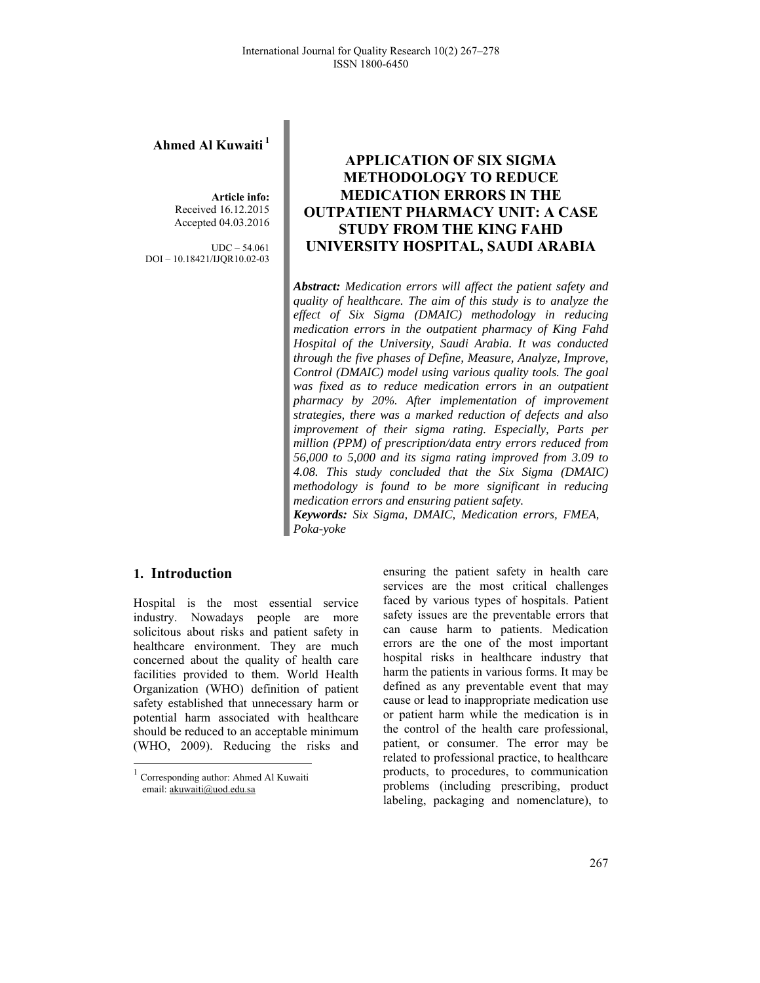## **Ahmed Al Kuwaiti<sup>1</sup>**

**Article info:**  Received 16.12.2015 Accepted 04.03.2016

UDC – 54.061 DOI – 10.18421/IJQR10.02-03

# **APPLICATION OF SIX SIGMA METHODOLOGY TO REDUCE MEDICATION ERRORS IN THE OUTPATIENT PHARMACY UNIT: A CASE STUDY FROM THE KING FAHD UNIVERSITY HOSPITAL, SAUDI ARABIA**

*Abstract: Medication errors will affect the patient safety and quality of healthcare. The aim of this study is to analyze the effect of Six Sigma (DMAIC) methodology in reducing medication errors in the outpatient pharmacy of King Fahd Hospital of the University, Saudi Arabia. It was conducted through the five phases of Define, Measure, Analyze, Improve, Control (DMAIC) model using various quality tools. The goal was fixed as to reduce medication errors in an outpatient pharmacy by 20%. After implementation of improvement strategies, there was a marked reduction of defects and also improvement of their sigma rating. Especially, Parts per million (PPM) of prescription/data entry errors reduced from 56,000 to 5,000 and its sigma rating improved from 3.09 to 4.08. This study concluded that the Six Sigma (DMAIC) methodology is found to be more significant in reducing medication errors and ensuring patient safety. Keywords: Six Sigma, DMAIC, Medication errors, FMEA,* 

*Poka-yoke*

## **1.** Introduction

1

Hospital is the most essential service industry. Nowadays people are more solicitous about risks and patient safety in healthcare environment. They are much concerned about the quality of health care facilities provided to them. World Health Organization (WHO) definition of patient safety established that unnecessary harm or potential harm associated with healthcare should be reduced to an acceptable minimum (WHO, 2009). Reducing the risks and

ensuring the patient safety in health care services are the most critical challenges faced by various types of hospitals. Patient safety issues are the preventable errors that can cause harm to patients. Medication errors are the one of the most important hospital risks in healthcare industry that harm the patients in various forms. It may be defined as any preventable event that may cause or lead to inappropriate medication use or patient harm while the medication is in the control of the health care professional, patient, or consumer. The error may be related to professional practice, to healthcare products, to procedures, to communication problems (including prescribing, product labeling, packaging and nomenclature), to

<sup>1</sup> Corresponding author: Ahmed Al Kuwaiti email: akuwaiti@uod.edu.sa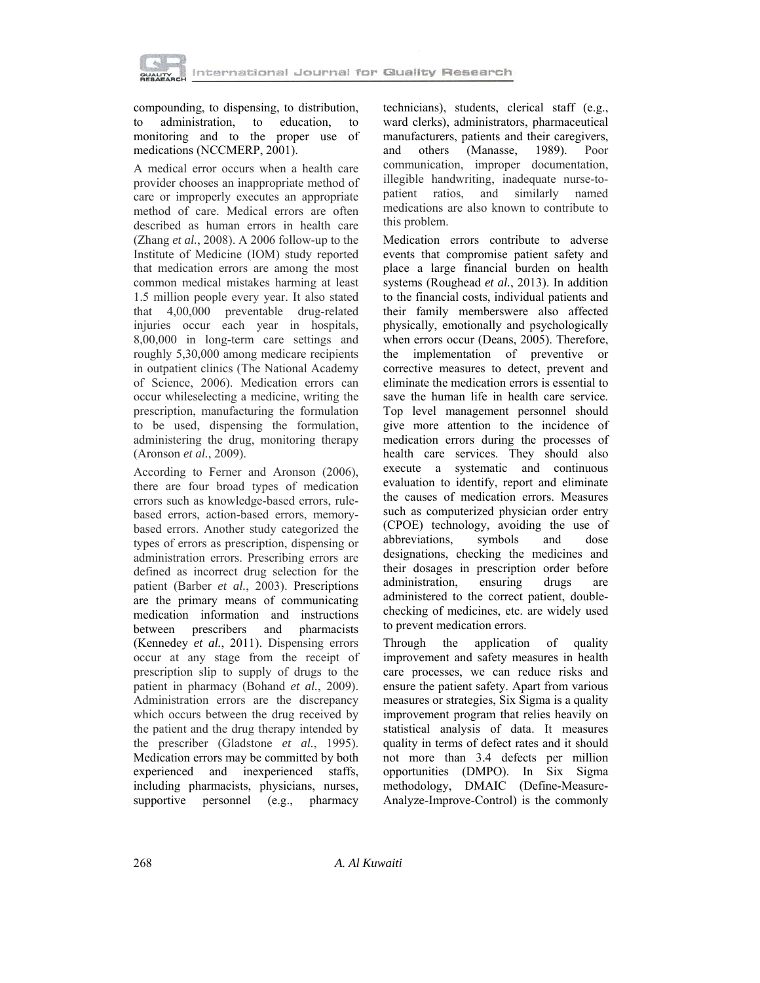

compounding, to dispensing, to distribution, to administration, to education, to monitoring and to the proper use of medications (NCCMERP, 2001).

A medical error occurs when a health care provider chooses an inappropriate method of care or improperly executes an appropriate method of care. Medical errors are often described as human errors in health care (Zhang *et al.*, 2008). A 2006 follow-up to the Institute of Medicine (IOM) study reported that medication errors are among the most common medical mistakes harming at least 1.5 million people every year. It also stated that 4,00,000 preventable drug-related injuries occur each year in hospitals, 8,00,000 in long-term care settings and roughly 5,30,000 among medicare recipients in outpatient clinics (The National Academy of Science, 2006). Medication errors can occur whileselecting a medicine, writing the prescription, manufacturing the formulation to be used, dispensing the formulation, administering the drug, monitoring therapy (Aronson *et al.*, 2009).

According to Ferner and Aronson (2006), there are four broad types of medication errors such as knowledge-based errors, rulebased errors, action-based errors, memorybased errors. Another study categorized the types of errors as prescription, dispensing or administration errors. Prescribing errors are defined as incorrect drug selection for the patient (Barber *et al.*, 2003). Prescriptions are the primary means of communicating medication information and instructions between prescribers and pharmacists (Kennedey *et al.*, 2011). Dispensing errors occur at any stage from the receipt of prescription slip to supply of drugs to the patient in pharmacy (Bohand *et al.*, 2009). Administration errors are the discrepancy which occurs between the drug received by the patient and the drug therapy intended by the prescriber (Gladstone *et al.*, 1995). Medication errors may be committed by both experienced and inexperienced staffs, including pharmacists, physicians, nurses, supportive personnel (e.g., pharmacy

technicians), students, clerical staff (e.g., ward clerks), administrators, pharmaceutical manufacturers, patients and their caregivers, and others (Manasse, 1989). Poor communication, improper documentation, illegible handwriting, inadequate nurse-topatient ratios, and similarly named medications are also known to contribute to this problem.

Medication errors contribute to adverse events that compromise patient safety and place a large financial burden on health systems (Roughead *et al.*, 2013). In addition to the financial costs, individual patients and their family memberswere also affected physically, emotionally and psychologically when errors occur (Deans, 2005). Therefore, the implementation of preventive or corrective measures to detect, prevent and eliminate the medication errors is essential to save the human life in health care service. Top level management personnel should give more attention to the incidence of medication errors during the processes of health care services. They should also execute a systematic and continuous evaluation to identify, report and eliminate the causes of medication errors. Measures such as computerized physician order entry (CPOE) technology, avoiding the use of abbreviations, symbols and dose designations, checking the medicines and their dosages in prescription order before administration, ensuring drugs are administered to the correct patient, doublechecking of medicines, etc. are widely used to prevent medication errors.

Through the application of quality improvement and safety measures in health care processes, we can reduce risks and ensure the patient safety. Apart from various measures or strategies, Six Sigma is a quality improvement program that relies heavily on statistical analysis of data. It measures quality in terms of defect rates and it should not more than 3.4 defects per million opportunities (DMPO). In Six Sigma methodology, DMAIC (Define-Measure-Analyze-Improve-Control) is the commonly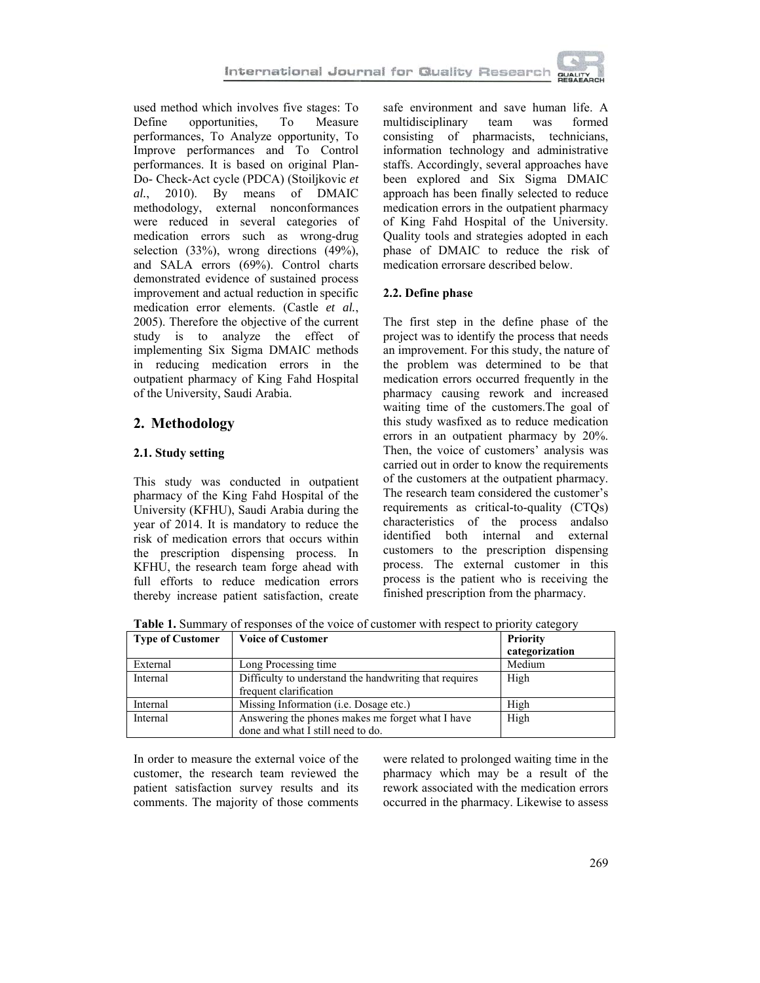

used method which involves five stages: To Define opportunities, To Measure performances, To Analyze opportunity, To Improve performances and To Control performances. It is based on original Plan-Do- Check-Act cycle (PDCA) (Stoiljkovic *et al.*, 2010). By means of DMAIC methodology, external nonconformances were reduced in several categories of medication errors such as wrong-drug selection (33%), wrong directions (49%), and SALA errors (69%). Control charts demonstrated evidence of sustained process improvement and actual reduction in specific medication error elements. (Castle *et al.*, 2005). Therefore the objective of the current study is to analyze the effect of implementing Six Sigma DMAIC methods in reducing medication errors in the outpatient pharmacy of King Fahd Hospital of the University, Saudi Arabia.

## **2. Methodology**

### **2.1. Study setting**

This study was conducted in outpatient pharmacy of the King Fahd Hospital of the University (KFHU), Saudi Arabia during the year of 2014. It is mandatory to reduce the risk of medication errors that occurs within the prescription dispensing process. In KFHU, the research team forge ahead with full efforts to reduce medication errors thereby increase patient satisfaction, create

safe environment and save human life. A multidisciplinary team was formed consisting of pharmacists, technicians, information technology and administrative staffs. Accordingly, several approaches have been explored and Six Sigma DMAIC approach has been finally selected to reduce medication errors in the outpatient pharmacy of King Fahd Hospital of the University. Quality tools and strategies adopted in each phase of DMAIC to reduce the risk of medication errorsare described below.

### **2.2. Define phase**

The first step in the define phase of the project was to identify the process that needs an improvement. For this study, the nature of the problem was determined to be that medication errors occurred frequently in the pharmacy causing rework and increased waiting time of the customers.The goal of this study wasfixed as to reduce medication errors in an outpatient pharmacy by 20%. Then, the voice of customers' analysis was carried out in order to know the requirements of the customers at the outpatient pharmacy. The research team considered the customer's requirements as critical-to-quality (CTQs) characteristics of the process andalso identified both internal and external customers to the prescription dispensing process. The external customer in this process is the patient who is receiving the finished prescription from the pharmacy.

**Table 1.** Summary of responses of the voice of customer with respect to priority category

| <b>Type of Customer</b> | <b>Voice of Customer</b>                               | <b>Priority</b> |  |
|-------------------------|--------------------------------------------------------|-----------------|--|
|                         |                                                        | categorization  |  |
| External                | Long Processing time                                   | Medium          |  |
| Internal                | Difficulty to understand the handwriting that requires | High            |  |
|                         | frequent clarification                                 |                 |  |
| Internal                | Missing Information ( <i>i.e.</i> Dosage etc.)         | High            |  |
| Internal                | Answering the phones makes me forget what I have       | High            |  |
|                         | done and what I still need to do.                      |                 |  |

In order to measure the external voice of the customer, the research team reviewed the patient satisfaction survey results and its comments. The majority of those comments were related to prolonged waiting time in the pharmacy which may be a result of the rework associated with the medication errors occurred in the pharmacy. Likewise to assess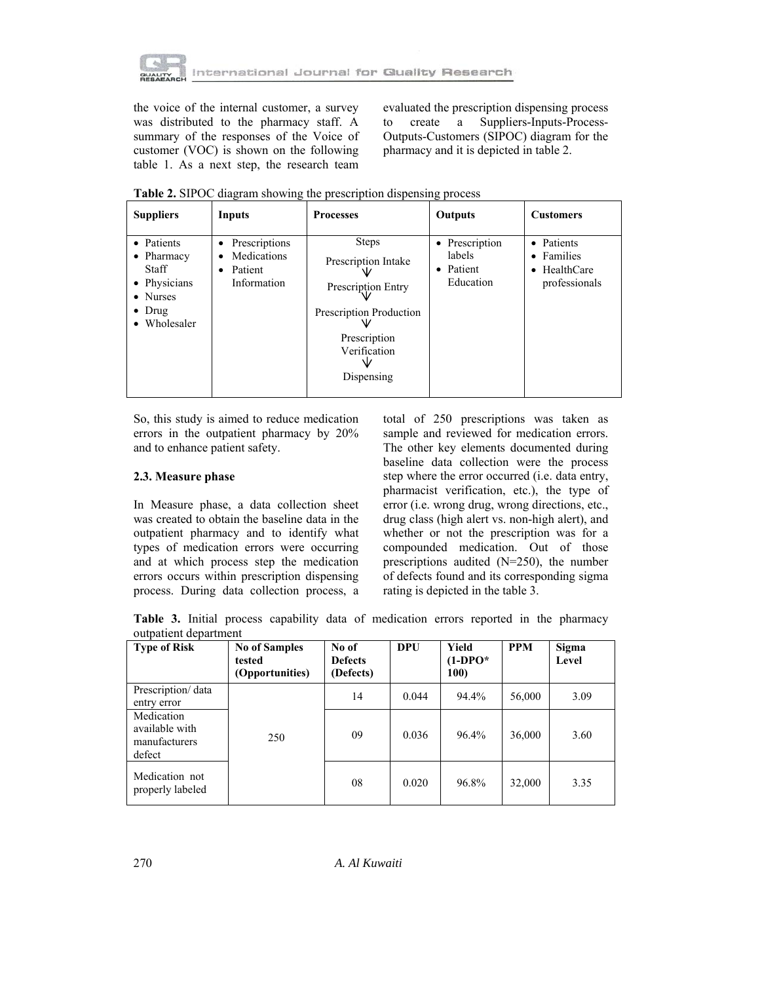

the voice of the internal customer, a survey was distributed to the pharmacy staff. A summary of the responses of the Voice of customer (VOC) is shown on the following table 1. As a next step, the research team evaluated the prescription dispensing process to create a Suppliers-Inputs-Process-Outputs-Customers (SIPOC) diagram for the pharmacy and it is depicted in table 2.

| <b>Suppliers</b>                                                                                               | Inputs                                                                        | <b>Processes</b>                                                                                                                   | Outputs                                            | <b>Customers</b>                                                  |
|----------------------------------------------------------------------------------------------------------------|-------------------------------------------------------------------------------|------------------------------------------------------------------------------------------------------------------------------------|----------------------------------------------------|-------------------------------------------------------------------|
| • Patients<br>$\bullet$ Pharmacy<br><b>Staff</b><br>• Physicians<br>• Nurses<br>$\bullet$ Drug<br>• Wholesaler | Prescriptions<br>$\bullet$<br>Medications<br>٠<br>Patient<br>٠<br>Information | <b>Steps</b><br>Prescription Intake<br>Prescription Entry<br>Prescription Production<br>Prescription<br>Verification<br>Dispensing | • Prescription<br>labels<br>• Patient<br>Education | • Patients<br>• Families<br>$\bullet$ HealthCare<br>professionals |

**Table 2.** SIPOC diagram showing the prescription dispensing process

So, this study is aimed to reduce medication errors in the outpatient pharmacy by 20% and to enhance patient safety.

### **2.3. Measure phase**

In Measure phase, a data collection sheet was created to obtain the baseline data in the outpatient pharmacy and to identify what types of medication errors were occurring and at which process step the medication errors occurs within prescription dispensing process. During data collection process, a total of 250 prescriptions was taken as sample and reviewed for medication errors. The other key elements documented during baseline data collection were the process step where the error occurred (i.e. data entry, pharmacist verification, etc.), the type of error (i.e. wrong drug, wrong directions, etc., drug class (high alert vs. non-high alert), and whether or not the prescription was for a compounded medication. Out of those prescriptions audited (N=250), the number of defects found and its corresponding sigma rating is depicted in the table 3.

**Table 3.** Initial process capability data of medication errors reported in the pharmacy outpatient department

| <b>Type of Risk</b>                                     | <b>No of Samples</b><br>tested<br>(Opportunities) | No of<br><b>Defects</b><br>(Defects) | DPU   | Yield<br>$(1-DPO^*$<br><b>100</b> | <b>PPM</b> | Sigma<br>Level |
|---------------------------------------------------------|---------------------------------------------------|--------------------------------------|-------|-----------------------------------|------------|----------------|
| Prescription/ data<br>entry error                       |                                                   | 14                                   | 0.044 | 94.4%                             | 56,000     | 3.09           |
| Medication<br>available with<br>manufacturers<br>defect | 250                                               | 09                                   | 0.036 | 96.4%                             | 36,000     | 3.60           |
| Medication not<br>properly labeled                      |                                                   | 08                                   | 0.020 | 96.8%                             | 32,000     | 3.35           |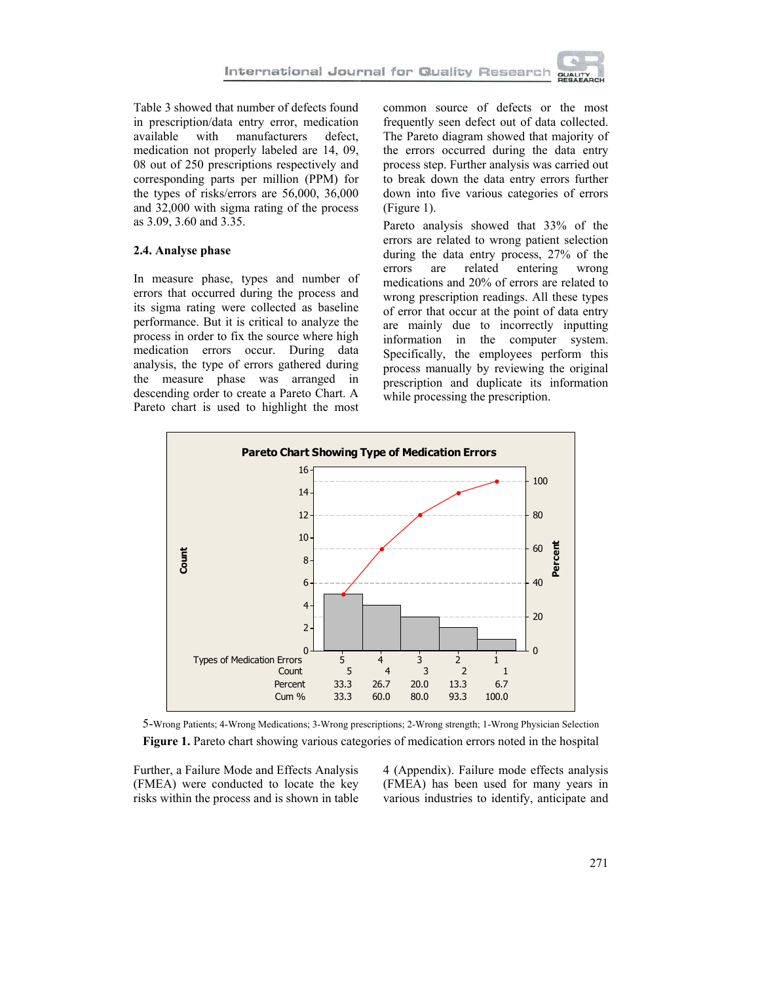

Table 3 showed that number of defects found in prescription/data entry error, medication available with manufacturers defect, medication not properly labeled are 14, 09, 08 out of 250 prescriptions respectively and corresponding parts per million (PPM) for the types of risks/errors are 56,000, 36,000 and 32,000 with sigma rating of the process as 3.09, 3.60 and 3.35.

#### **2.4. Analyse phase**

In measure phase, types and number of errors that occurred during the process and its sigma rating were collected as baseline performance. But it is critical to analyze the process in order to fix the source where high medication errors occur. During data analysis, the type of errors gathered during the measure phase was arranged in descending order to create a Pareto Chart. A Pareto chart is used to highlight the most

common source of defects or the most frequently seen defect out of data collected. The Pareto diagram showed that majority of the errors occurred during the data entry process step. Further analysis was carried out to break down the data entry errors further down into five various categories of errors (Figure 1).

Pareto analysis showed that 33% of the errors are related to wrong patient selection during the data entry process, 27% of the errors are related entering wrong medications and 20% of errors are related to wrong prescription readings. All these types of error that occur at the point of data entry are mainly due to incorrectly inputting information in the computer system. Specifically, the employees perform this process manually by reviewing the original prescription and duplicate its information while processing the prescription.



5-Wrong Patients; 4-Wrong Medications; 3-Wrong prescriptions; 2-Wrong strength; 1-Wrong Physician Selection **Figure 1.** Pareto chart showing various categories of medication errors noted in the hospital

Further, a Failure Mode and Effects Analysis (FMEA) were conducted to locate the key risks within the process and is shown in table 4 (Appendix). Failure mode effects analysis (FMEA) has been used for many years in various industries to identify, anticipate and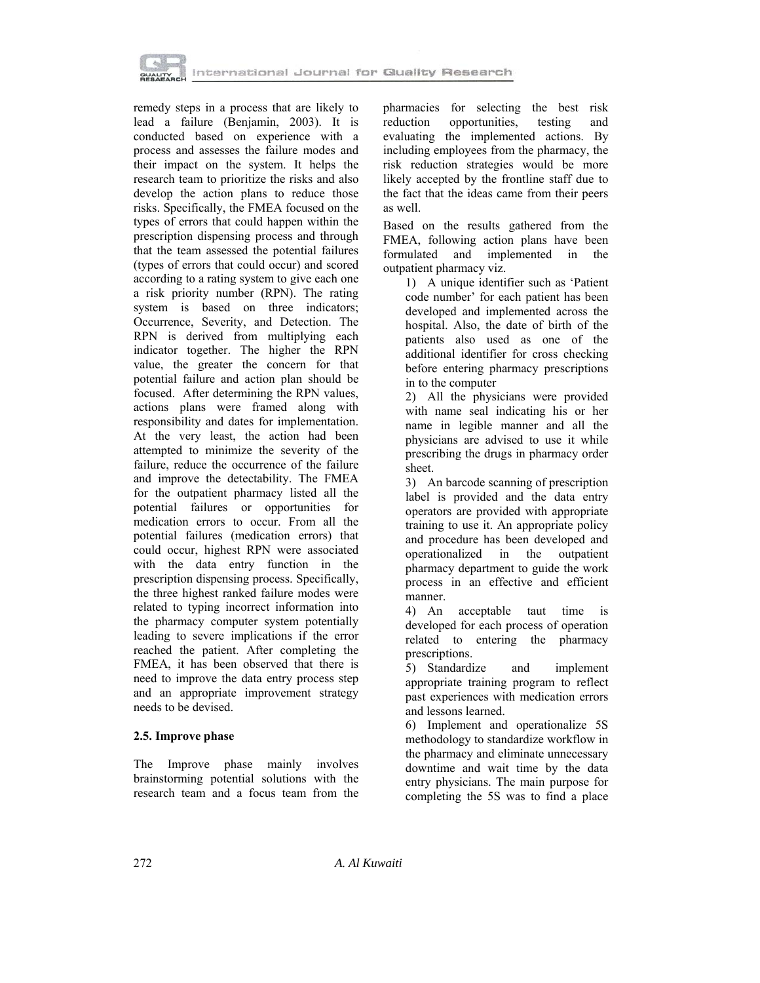

remedy steps in a process that are likely to lead a failure (Benjamin, 2003). It is conducted based on experience with a process and assesses the failure modes and their impact on the system. It helps the research team to prioritize the risks and also develop the action plans to reduce those risks. Specifically, the FMEA focused on the types of errors that could happen within the prescription dispensing process and through that the team assessed the potential failures (types of errors that could occur) and scored according to a rating system to give each one a risk priority number (RPN). The rating system is based on three indicators; Occurrence, Severity, and Detection. The RPN is derived from multiplying each indicator together. The higher the RPN value, the greater the concern for that potential failure and action plan should be focused. After determining the RPN values, actions plans were framed along with responsibility and dates for implementation. At the very least, the action had been attempted to minimize the severity of the failure, reduce the occurrence of the failure and improve the detectability. The FMEA for the outpatient pharmacy listed all the potential failures or opportunities for medication errors to occur. From all the potential failures (medication errors) that could occur, highest RPN were associated with the data entry function in the prescription dispensing process. Specifically, the three highest ranked failure modes were related to typing incorrect information into the pharmacy computer system potentially leading to severe implications if the error reached the patient. After completing the FMEA, it has been observed that there is need to improve the data entry process step and an appropriate improvement strategy needs to be devised.

### **2.5. Improve phase**

The Improve phase mainly involves brainstorming potential solutions with the research team and a focus team from the pharmacies for selecting the best risk reduction opportunities, testing and evaluating the implemented actions. By including employees from the pharmacy, the risk reduction strategies would be more likely accepted by the frontline staff due to the fact that the ideas came from their peers as well.

Based on the results gathered from the FMEA, following action plans have been formulated and implemented in the outpatient pharmacy viz.

1) A unique identifier such as 'Patient code number' for each patient has been developed and implemented across the hospital. Also, the date of birth of the patients also used as one of the additional identifier for cross checking before entering pharmacy prescriptions in to the computer

2) All the physicians were provided with name seal indicating his or her name in legible manner and all the physicians are advised to use it while prescribing the drugs in pharmacy order sheet.

3) An barcode scanning of prescription label is provided and the data entry operators are provided with appropriate training to use it. An appropriate policy and procedure has been developed and operationalized in the outpatient pharmacy department to guide the work process in an effective and efficient manner.

4) An acceptable taut time is developed for each process of operation related to entering the pharmacy prescriptions.

5) Standardize and implement appropriate training program to reflect past experiences with medication errors and lessons learned.

6) Implement and operationalize 5S methodology to standardize workflow in the pharmacy and eliminate unnecessary downtime and wait time by the data entry physicians. The main purpose for completing the 5S was to find a place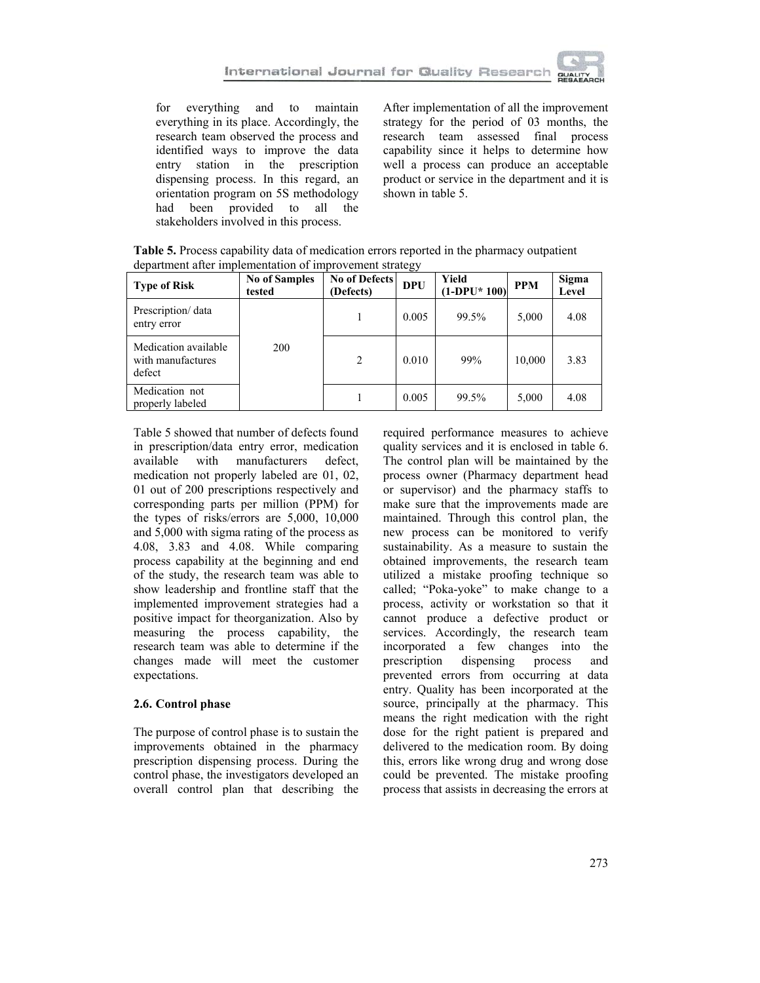

for everything and to maintain everything in its place. Accordingly, the research team observed the process and identified ways to improve the data entry station in the prescription dispensing process. In this regard, an orientation program on 5S methodology had been provided to all the stakeholders involved in this process.

After implementation of all the improvement strategy for the period of 03 months, the research team assessed final process capability since it helps to determine how well a process can produce an acceptable product or service in the department and it is shown in table 5.

**Type of Risk No of Samples tested No of Defects (Defects) DPU Yield**   $\begin{array}{|c|c|c|c|}\n\hline\n\text{Yield} & \text{PPM} & \text{Sigma} \\
\hline\n\text{(1-DPU*100)} & \text{PPM} & \text{Level}\n\end{array}$ **Level**  Prescription/ data entry error 200 1 0.005 99.5% 5,000 4.08 Medication available with manufactures defect 2 0.010 99% 10,000 3.83 Medication not properly labeled  $\begin{vmatrix} 1 & 1 & 0.005 & 99.5\% \\ 99.5\% & 5,000 & 4.08 \end{vmatrix}$ 

**Table 5.** Process capability data of medication errors reported in the pharmacy outpatient department after implementation of improvement strategy

Table 5 showed that number of defects found in prescription/data entry error, medication available with manufacturers defect, medication not properly labeled are 01, 02, 01 out of 200 prescriptions respectively and corresponding parts per million (PPM) for the types of risks/errors are 5,000, 10,000 and 5,000 with sigma rating of the process as 4.08, 3.83 and 4.08. While comparing process capability at the beginning and end of the study, the research team was able to show leadership and frontline staff that the implemented improvement strategies had a positive impact for theorganization. Also by measuring the process capability, the research team was able to determine if the changes made will meet the customer expectations.

### **2.6. Control phase**

The purpose of control phase is to sustain the improvements obtained in the pharmacy prescription dispensing process. During the control phase, the investigators developed an overall control plan that describing the

required performance measures to achieve quality services and it is enclosed in table 6. The control plan will be maintained by the process owner (Pharmacy department head or supervisor) and the pharmacy staffs to make sure that the improvements made are maintained. Through this control plan, the new process can be monitored to verify sustainability. As a measure to sustain the obtained improvements, the research team utilized a mistake proofing technique so called; "Poka-yoke" to make change to a process, activity or workstation so that it cannot produce a defective product or services. Accordingly, the research team incorporated a few changes into the prescription dispensing process and prevented errors from occurring at data entry. Quality has been incorporated at the source, principally at the pharmacy. This means the right medication with the right dose for the right patient is prepared and delivered to the medication room. By doing this, errors like wrong drug and wrong dose could be prevented. The mistake proofing process that assists in decreasing the errors at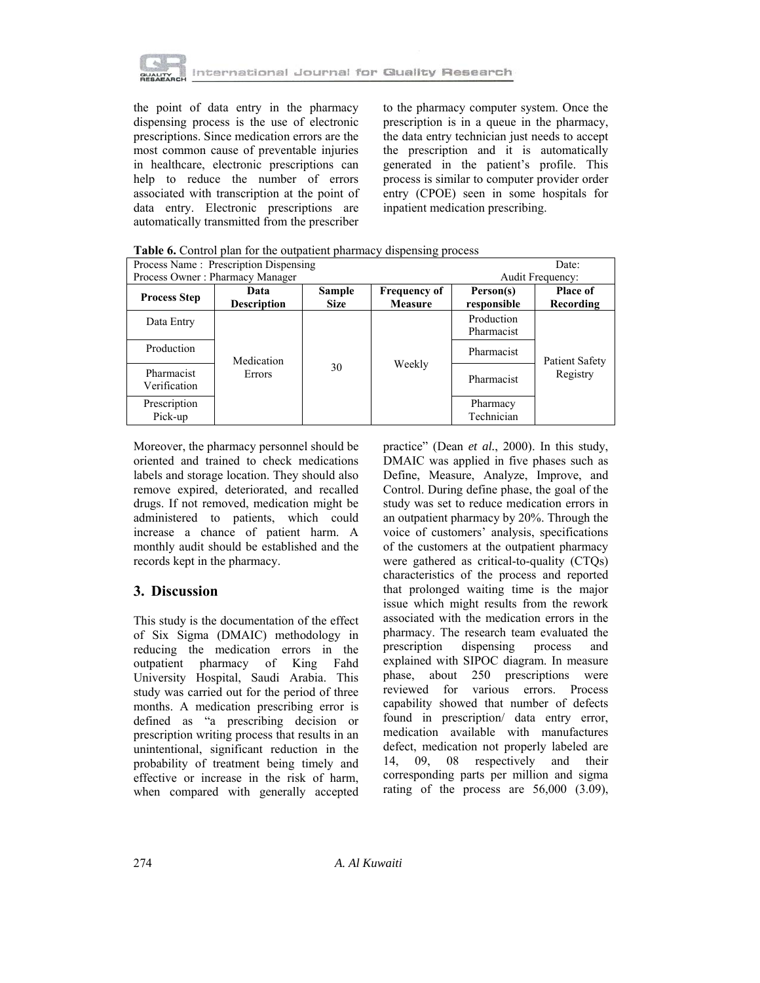

the point of data entry in the pharmacy dispensing process is the use of electronic prescriptions. Since medication errors are the most common cause of preventable injuries in healthcare, electronic prescriptions can help to reduce the number of errors associated with transcription at the point of data entry. Electronic prescriptions are automatically transmitted from the prescriber to the pharmacy computer system. Once the prescription is in a queue in the pharmacy, the data entry technician just needs to accept the prescription and it is automatically generated in the patient's profile. This process is similar to computer provider order entry (CPOE) seen in some hospitals for inpatient medication prescribing.

| Process Name: Prescription Dispensing |                            |                       |                                       |                          | Date:                             |
|---------------------------------------|----------------------------|-----------------------|---------------------------------------|--------------------------|-----------------------------------|
| Process Owner: Pharmacy Manager       |                            |                       | <b>Audit Frequency:</b>               |                          |                                   |
| <b>Process Step</b>                   | Data<br><b>Description</b> | Sample<br><b>Size</b> | <b>Frequency of</b><br><b>Measure</b> | Person(s)<br>responsible | <b>Place of</b><br>Recording      |
| Data Entry                            | Medication<br>Errors       | 30                    | Weekly                                | Production<br>Pharmacist | <b>Patient Safety</b><br>Registry |
| Production                            |                            |                       |                                       | Pharmacist               |                                   |
| Pharmacist<br>Verification            |                            |                       |                                       | Pharmacist               |                                   |
| Prescription<br>Pick-up               |                            |                       |                                       | Pharmacy<br>Technician   |                                   |

**Table 6.** Control plan for the outpatient pharmacy dispensing process

Moreover, the pharmacy personnel should be oriented and trained to check medications labels and storage location. They should also remove expired, deteriorated, and recalled drugs. If not removed, medication might be administered to patients, which could increase a chance of patient harm. A monthly audit should be established and the records kept in the pharmacy.

# **3. Discussion**

This study is the documentation of the effect of Six Sigma (DMAIC) methodology in reducing the medication errors in the outpatient pharmacy of King Fahd University Hospital, Saudi Arabia. This study was carried out for the period of three months. A medication prescribing error is defined as "a prescribing decision or prescription writing process that results in an unintentional, significant reduction in the probability of treatment being timely and effective or increase in the risk of harm, when compared with generally accepted

practice" (Dean *et al.*, 2000). In this study, DMAIC was applied in five phases such as Define, Measure, Analyze, Improve, and Control. During define phase, the goal of the study was set to reduce medication errors in an outpatient pharmacy by 20%. Through the voice of customers' analysis, specifications of the customers at the outpatient pharmacy were gathered as critical-to-quality (CTQs) characteristics of the process and reported that prolonged waiting time is the major issue which might results from the rework associated with the medication errors in the pharmacy. The research team evaluated the prescription dispensing process and explained with SIPOC diagram. In measure phase, about 250 prescriptions were reviewed for various errors. Process capability showed that number of defects found in prescription/ data entry error, medication available with manufactures defect, medication not properly labeled are 14, 09, 08 respectively and their corresponding parts per million and sigma rating of the process are 56,000 (3.09),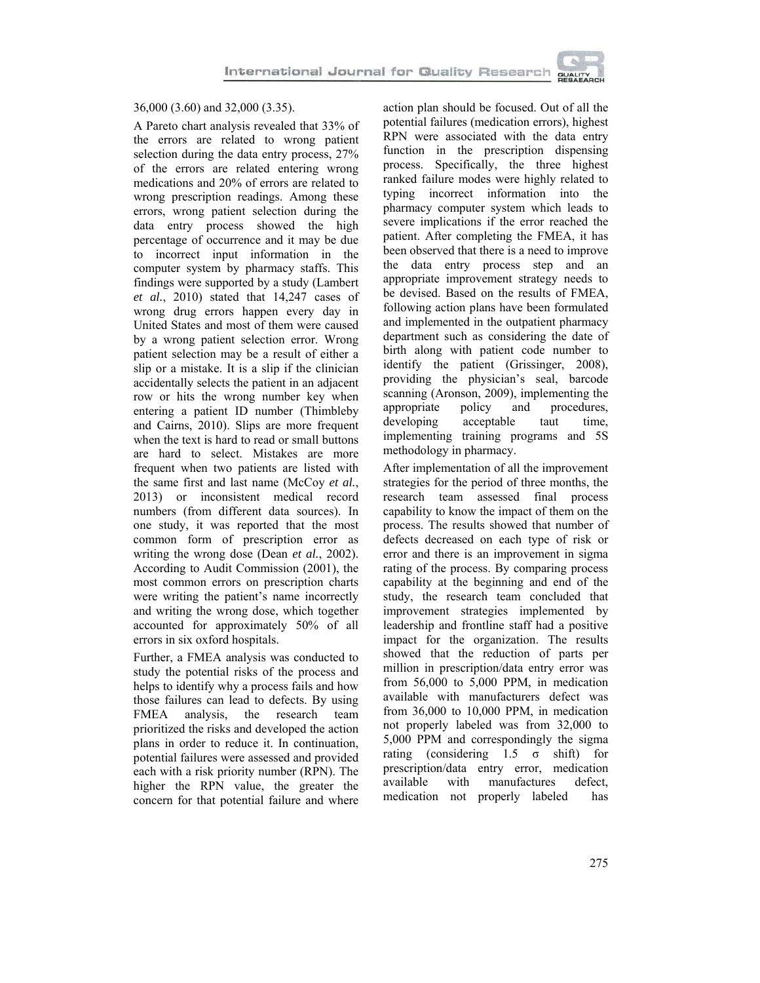

### 36,000 (3.60) and 32,000 (3.35).

A Pareto chart analysis revealed that 33% of the errors are related to wrong patient selection during the data entry process, 27% of the errors are related entering wrong medications and 20% of errors are related to wrong prescription readings. Among these errors, wrong patient selection during the data entry process showed the high percentage of occurrence and it may be due to incorrect input information in the computer system by pharmacy staffs. This findings were supported by a study (Lambert *et al.*, 2010) stated that 14,247 cases of wrong drug errors happen every day in United States and most of them were caused by a wrong patient selection error. Wrong patient selection may be a result of either a slip or a mistake. It is a slip if the clinician accidentally selects the patient in an adjacent row or hits the wrong number key when entering a patient ID number (Thimbleby and Cairns, 2010). Slips are more frequent when the text is hard to read or small buttons are hard to select. Mistakes are more frequent when two patients are listed with the same first and last name (McCoy *et al.*, 2013) or inconsistent medical record numbers (from different data sources). In one study, it was reported that the most common form of prescription error as writing the wrong dose (Dean *et al.*, 2002). According to Audit Commission (2001), the most common errors on prescription charts were writing the patient's name incorrectly and writing the wrong dose, which together accounted for approximately 50% of all errors in six oxford hospitals.

Further, a FMEA analysis was conducted to study the potential risks of the process and helps to identify why a process fails and how those failures can lead to defects. By using FMEA analysis, the research team prioritized the risks and developed the action plans in order to reduce it. In continuation, potential failures were assessed and provided each with a risk priority number (RPN). The higher the RPN value, the greater the concern for that potential failure and where

action plan should be focused. Out of all the potential failures (medication errors), highest RPN were associated with the data entry function in the prescription dispensing process. Specifically, the three highest ranked failure modes were highly related to typing incorrect information into the pharmacy computer system which leads to severe implications if the error reached the patient. After completing the FMEA, it has been observed that there is a need to improve the data entry process step and an appropriate improvement strategy needs to be devised. Based on the results of FMEA, following action plans have been formulated and implemented in the outpatient pharmacy department such as considering the date of birth along with patient code number to identify the patient (Grissinger, 2008), providing the physician's seal, barcode scanning (Aronson, 2009), implementing the appropriate policy and procedures, developing acceptable taut time, implementing training programs and 5S methodology in pharmacy.

After implementation of all the improvement strategies for the period of three months, the research team assessed final process capability to know the impact of them on the process. The results showed that number of defects decreased on each type of risk or error and there is an improvement in sigma rating of the process. By comparing process capability at the beginning and end of the study, the research team concluded that improvement strategies implemented by leadership and frontline staff had a positive impact for the organization. The results showed that the reduction of parts per million in prescription/data entry error was from 56,000 to 5,000 PPM, in medication available with manufacturers defect was from 36,000 to 10,000 PPM, in medication not properly labeled was from 32,000 to 5,000 PPM and correspondingly the sigma rating (considering 1.5 σ shift) for prescription/data entry error, medication available with manufactures defect, medication not properly labeled has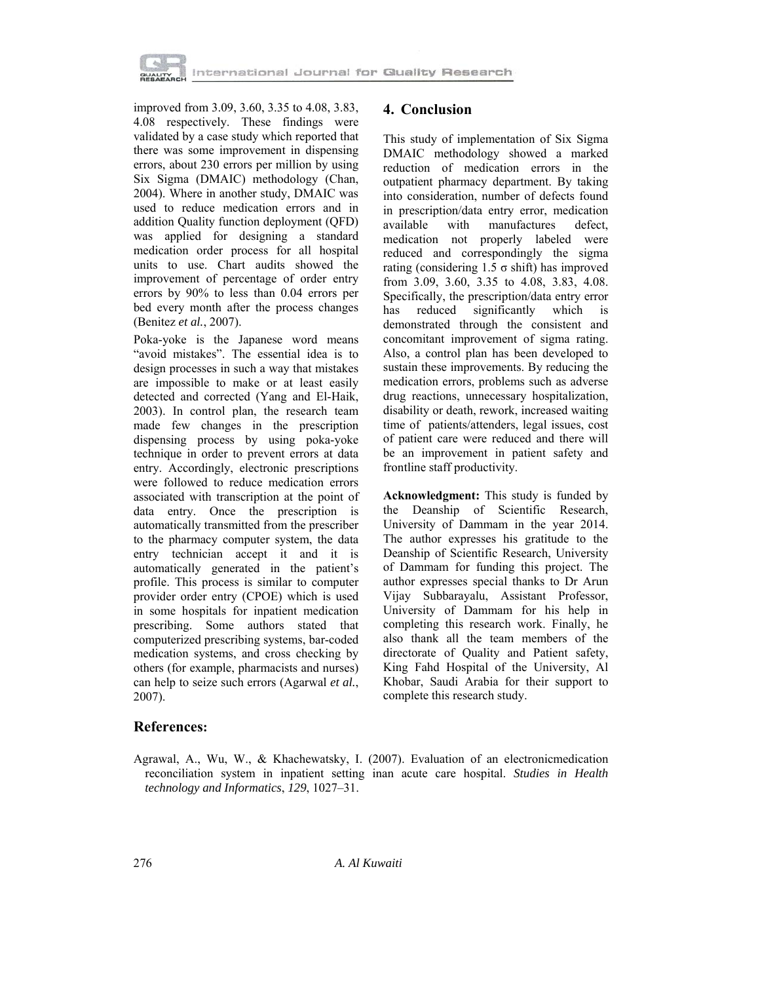

improved from 3.09, 3.60, 3.35 to 4.08, 3.83, 4.08 respectively. These findings were validated by a case study which reported that there was some improvement in dispensing errors, about 230 errors per million by using Six Sigma (DMAIC) methodology (Chan, 2004). Where in another study, DMAIC was used to reduce medication errors and in addition Quality function deployment (QFD) was applied for designing a standard medication order process for all hospital units to use. Chart audits showed the improvement of percentage of order entry errors by 90% to less than 0.04 errors per bed every month after the process changes (Benitez *et al.*, 2007).

Poka-yoke is the Japanese word means "avoid mistakes". The essential idea is to design processes in such a way that mistakes are impossible to make or at least easily detected and corrected (Yang and El-Haik, 2003). In control plan, the research team made few changes in the prescription dispensing process by using poka-yoke technique in order to prevent errors at data entry. Accordingly, electronic prescriptions were followed to reduce medication errors associated with transcription at the point of data entry. Once the prescription is automatically transmitted from the prescriber to the pharmacy computer system, the data entry technician accept it and it is automatically generated in the patient's profile. This process is similar to computer provider order entry (CPOE) which is used in some hospitals for inpatient medication prescribing. Some authors stated that computerized prescribing systems, bar-coded medication systems, and cross checking by others (for example, pharmacists and nurses) can help to seize such errors (Agarwal *et al.*, 2007).

## **4. Conclusion**

This study of implementation of Six Sigma DMAIC methodology showed a marked reduction of medication errors in the outpatient pharmacy department. By taking into consideration, number of defects found in prescription/data entry error, medication available with manufactures defect, medication not properly labeled were reduced and correspondingly the sigma rating (considering 1.5 σ shift) has improved from 3.09, 3.60, 3.35 to 4.08, 3.83, 4.08. Specifically, the prescription/data entry error has reduced significantly which is demonstrated through the consistent and concomitant improvement of sigma rating. Also, a control plan has been developed to sustain these improvements. By reducing the medication errors, problems such as adverse drug reactions, unnecessary hospitalization, disability or death, rework, increased waiting time of patients/attenders, legal issues, cost of patient care were reduced and there will be an improvement in patient safety and frontline staff productivity.

**Acknowledgment:** This study is funded by the Deanship of Scientific Research, University of Dammam in the year 2014. The author expresses his gratitude to the Deanship of Scientific Research, University of Dammam for funding this project. The author expresses special thanks to Dr Arun Vijay Subbarayalu, Assistant Professor, University of Dammam for his help in completing this research work. Finally, he also thank all the team members of the directorate of Quality and Patient safety, King Fahd Hospital of the University, Al Khobar, Saudi Arabia for their support to complete this research study.

# **References:**

Agrawal, A., Wu, W., & Khachewatsky, I. (2007). Evaluation of an electronicmedication reconciliation system in inpatient setting inan acute care hospital. *Studies in Health technology and Informatics*, *129*, 1027–31.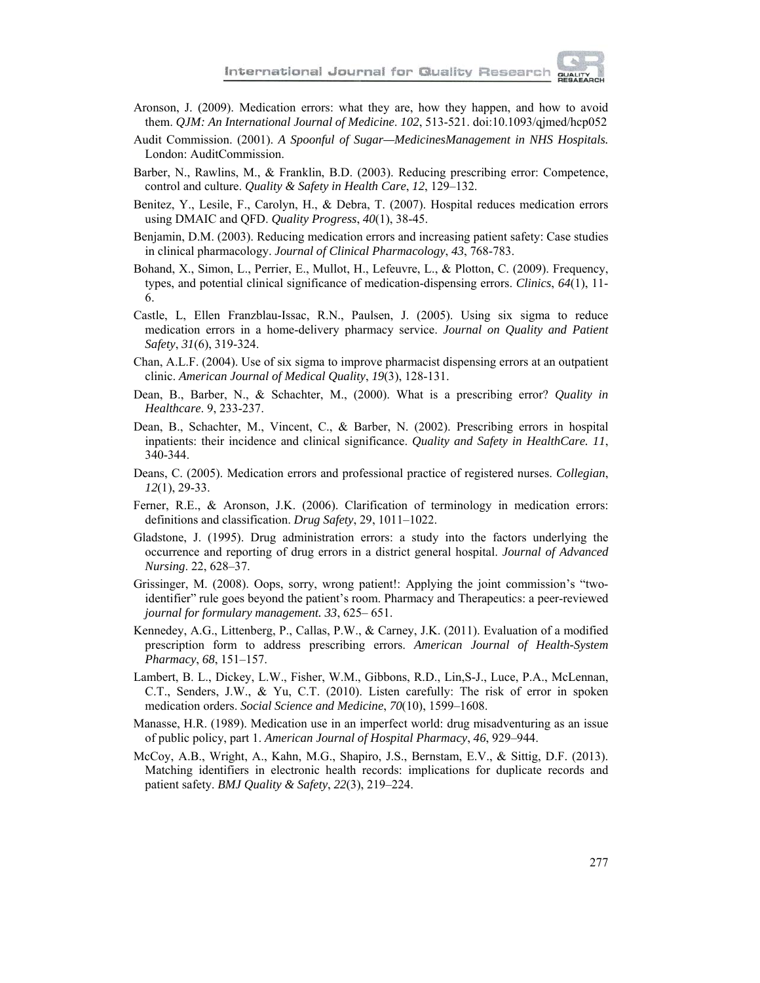

- Aronson, J. (2009). Medication errors: what they are, how they happen, and how to avoid them. *QJM: An International Journal of Medicine*. *102*, 513-521. doi:10.1093/qjmed/hcp052
- Audit Commission. (2001). *A Spoonful of Sugar—MedicinesManagement in NHS Hospitals.* London: AuditCommission.
- Barber, N., Rawlins, M., & Franklin, B.D. (2003). Reducing prescribing error: Competence, control and culture. *Quality & Safety in Health Care*, *12*, 129–132.
- Benitez, Y., Lesile, F., Carolyn, H., & Debra, T. (2007). Hospital reduces medication errors using DMAIC and QFD. *Quality Progress*, *40*(1), 38-45.
- Benjamin, D.M. (2003). Reducing medication errors and increasing patient safety: Case studies in clinical pharmacology. *Journal of Clinical Pharmacology*, *43*, 768-783.
- Bohand, X., Simon, L., Perrier, E., Mullot, H., Lefeuvre, L., & Plotton, C. (2009). Frequency, types, and potential clinical significance of medication-dispensing errors. *Clinics*, *64*(1), 11- 6.
- Castle, L, Ellen Franzblau-Issac, R.N., Paulsen, J. (2005). Using six sigma to reduce medication errors in a home-delivery pharmacy service. *Journal on Quality and Patient Safety*, *31*(6), 319-324.
- Chan, A.L.F. (2004). Use of six sigma to improve pharmacist dispensing errors at an outpatient clinic. *American Journal of Medical Quality*, *19*(3), 128-131.
- Dean, B., Barber, N., & Schachter, M., (2000). What is a prescribing error? *Quality in Healthcare*. 9, 233-237.
- Dean, B., Schachter, M., Vincent, C., & Barber, N. (2002). Prescribing errors in hospital inpatients: their incidence and clinical significance. *Quality and Safety in HealthCare. 11*, 340-344.
- Deans, C. (2005). Medication errors and professional practice of registered nurses. *Collegian*, *12*(1), 29-33.
- Ferner, R.E., & Aronson, J.K. (2006). Clarification of terminology in medication errors: definitions and classification. *Drug Safety*, 29, 1011–1022.
- Gladstone, J. (1995). Drug administration errors: a study into the factors underlying the occurrence and reporting of drug errors in a district general hospital. *Journal of Advanced Nursing*. 22, 628–37.
- Grissinger, M. (2008). Oops, sorry, wrong patient!: Applying the joint commission's "twoidentifier" rule goes beyond the patient's room. Pharmacy and Therapeutics: a peer-reviewed *journal for formulary management. 33*, 625– 651.
- Kennedey, A.G., Littenberg, P., Callas, P.W., & Carney, J.K. (2011). Evaluation of a modified prescription form to address prescribing errors. *American Journal of Health-System Pharmacy*, *68*, 151–157.
- Lambert, B. L., Dickey, L.W., Fisher, W.M., Gibbons, R.D., Lin,S-J., Luce, P.A., McLennan, C.T., Senders, J.W., & Yu, C.T. (2010). Listen carefully: The risk of error in spoken medication orders. *Social Science and Medicine*, *70*(10), 1599–1608.
- Manasse, H.R. (1989). Medication use in an imperfect world: drug misadventuring as an issue of public policy, part 1. *American Journal of Hospital Pharmacy*, *46*, 929–944.
- McCoy, A.B., Wright, A., Kahn, M.G., Shapiro, J.S., Bernstam, E.V., & Sittig, D.F. (2013). Matching identifiers in electronic health records: implications for duplicate records and patient safety. *BMJ Quality & Safety*, *22*(3), 219–224.